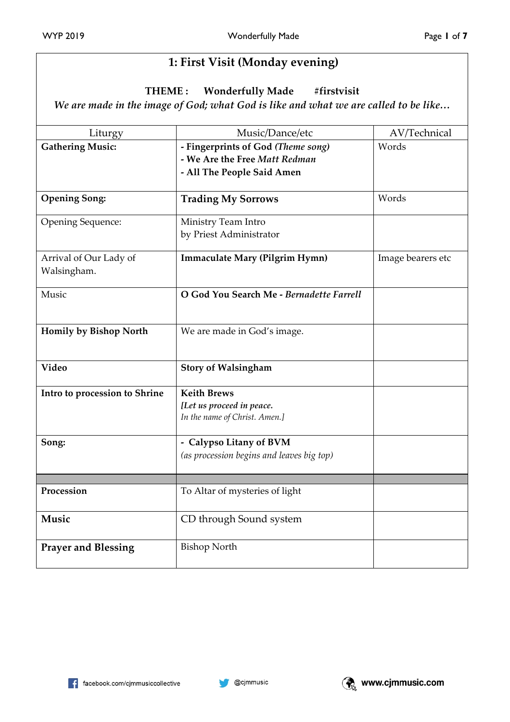# **1: First Visit (Monday evening)**

**THEME : Wonderfully Made #firstvisit**

*We are made in the image of God; what God is like and what we are called to be like…*

| Liturgy                       | Music/Dance/etc                           | AV/Technical      |
|-------------------------------|-------------------------------------------|-------------------|
| <b>Gathering Music:</b>       | - Fingerprints of God (Theme song)        | Words             |
|                               | - We Are the Free Matt Redman             |                   |
|                               | - All The People Said Amen                |                   |
|                               |                                           |                   |
| <b>Opening Song:</b>          | <b>Trading My Sorrows</b>                 | Words             |
| Opening Sequence:             | Ministry Team Intro                       |                   |
|                               | by Priest Administrator                   |                   |
| Arrival of Our Lady of        | Immaculate Mary (Pilgrim Hymn)            | Image bearers etc |
| Walsingham.                   |                                           |                   |
| Music                         | O God You Search Me - Bernadette Farrell  |                   |
|                               |                                           |                   |
| Homily by Bishop North        | We are made in God's image.               |                   |
|                               |                                           |                   |
| <b>Video</b>                  | <b>Story of Walsingham</b>                |                   |
| Intro to procession to Shrine | <b>Keith Brews</b>                        |                   |
|                               | [Let us proceed in peace.                 |                   |
|                               | In the name of Christ. Amen.]             |                   |
| Song:                         | - Calypso Litany of BVM                   |                   |
|                               | (as procession begins and leaves big top) |                   |
|                               |                                           |                   |
| Procession                    | To Altar of mysteries of light            |                   |
|                               |                                           |                   |
| Music                         | CD through Sound system                   |                   |
| <b>Prayer and Blessing</b>    | <b>Bishop North</b>                       |                   |
|                               |                                           |                   |

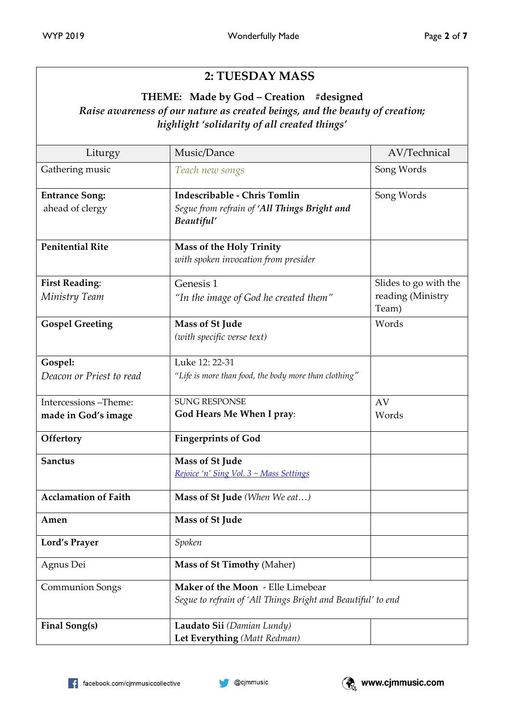# **2: TUESDAY MASS**

### **THEME: Made by God – Creation #designed** *Raise awareness of our nature as created beings, and the beauty of creation; highlight 'solidarity of all created things'*

| Liturgy                                  | Music/Dance                                                                                       | AV/Technical               |
|------------------------------------------|---------------------------------------------------------------------------------------------------|----------------------------|
| Gathering music                          | Teach new songs                                                                                   | Song Words                 |
| <b>Entrance Song:</b><br>ahead of clergy | Indescribable - Chris Tomlin<br>Segue from refrain of 'All Things Bright and<br>Beautiful'        | Song Words                 |
| <b>Penitential Rite</b>                  | <b>Mass of the Holy Trinity</b><br>with spoken invocation from presider                           |                            |
| <b>First Reading:</b>                    | Genesis 1                                                                                         | Slides to go with the      |
| Ministry Team                            | "In the image of God he created them"                                                             | reading (Ministry<br>Team) |
| <b>Gospel Greeting</b>                   | Mass of St Jude<br>(with specific verse text)                                                     | Words                      |
| Gospel:                                  | Luke 12: 22-31                                                                                    |                            |
| Deacon or Priest to read                 | "Life is more than food, the body more than clothing"                                             |                            |
| Intercessions-Theme:                     | <b>SUNG RESPONSE</b>                                                                              | AV                         |
| made in God's image                      | God Hears Me When I pray:                                                                         | Words                      |
| Offertory                                | <b>Fingerprints of God</b>                                                                        |                            |
| <b>Sanctus</b>                           | Mass of St Jude<br>Rejoice 'n' Sing Vol. 3 ~ Mass Settings                                        |                            |
| <b>Acclamation of Faith</b>              | Mass of St Jude (When We eat)                                                                     |                            |
| Amen                                     | <b>Mass of St Jude</b>                                                                            |                            |
| <b>Lord's Prayer</b>                     | Spoken                                                                                            |                            |
| Agnus Dei                                | Mass of St Timothy (Maher)                                                                        |                            |
| <b>Communion Songs</b>                   | Maker of the Moon - Elle Limebear<br>Segue to refrain of 'All Things Bright and Beautiful' to end |                            |
| Final Song(s)                            | Laudato Sii (Damian Lundy)<br>Let Everything (Matt Redman)                                        |                            |

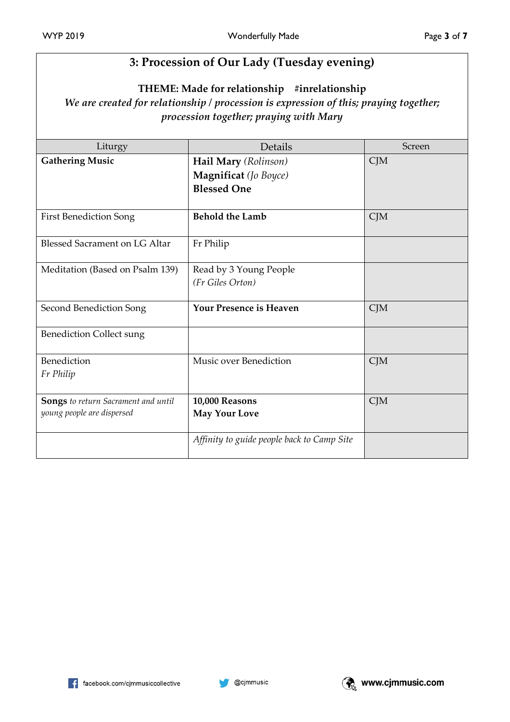## **3: Procession of Our Lady (Tuesday evening)**

**THEME: Made for relationship #inrelationship**

*We are created for relationship / procession is expression of this; praying together; procession together; praying with Mary*

| Liturgy                              | Details                                    | Screen |
|--------------------------------------|--------------------------------------------|--------|
| <b>Gathering Music</b>               | Hail Mary (Rolinson)                       | CJM    |
|                                      | Magnificat (Jo Boyce)                      |        |
|                                      | <b>Blessed One</b>                         |        |
| <b>First Benediction Song</b>        | <b>Behold the Lamb</b>                     | CJM    |
| <b>Blessed Sacrament on LG Altar</b> | Fr Philip                                  |        |
| Meditation (Based on Psalm 139)      | Read by 3 Young People                     |        |
|                                      | (Fr Giles Orton)                           |        |
| Second Benediction Song              | <b>Your Presence is Heaven</b>             | CJM    |
| <b>Benediction Collect sung</b>      |                                            |        |
| Benediction                          | Music over Benediction                     | CJM    |
| Fr Philip                            |                                            |        |
| Songs to return Sacrament and until  | 10,000 Reasons                             | CJM    |
| young people are dispersed           | <b>May Your Love</b>                       |        |
|                                      | Affinity to guide people back to Camp Site |        |



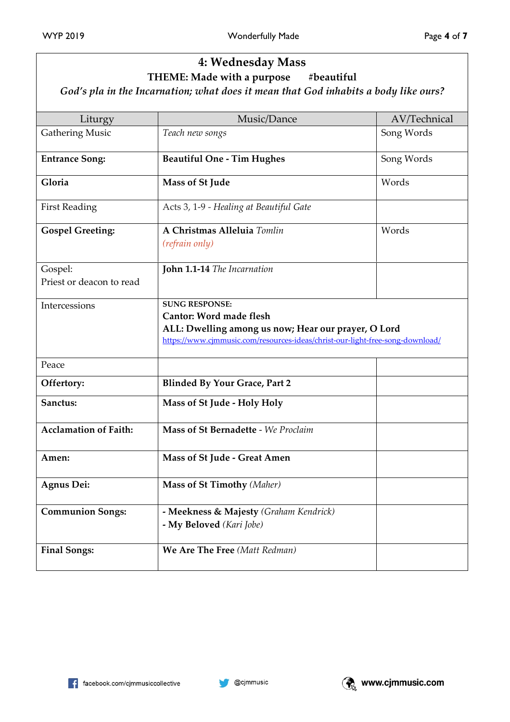## **4: Wednesday Mass THEME: Made with a purpose**

*God's pla in the Incarnation; what does it mean that God inhabits a body like ours?*

| Liturgy                             | Music/Dance                                                                                                                                                                                     | AV/Technical |
|-------------------------------------|-------------------------------------------------------------------------------------------------------------------------------------------------------------------------------------------------|--------------|
| <b>Gathering Music</b>              | Teach new songs                                                                                                                                                                                 | Song Words   |
| <b>Entrance Song:</b>               | <b>Beautiful One - Tim Hughes</b>                                                                                                                                                               | Song Words   |
| Gloria                              | Mass of St Jude                                                                                                                                                                                 | Words        |
| <b>First Reading</b>                | Acts 3, 1-9 - Healing at Beautiful Gate                                                                                                                                                         |              |
| <b>Gospel Greeting:</b>             | A Christmas Alleluia Tomlin<br>(refrain only)                                                                                                                                                   | Words        |
| Gospel:<br>Priest or deacon to read | John 1.1-14 The Incarnation                                                                                                                                                                     |              |
| Intercessions                       | <b>SUNG RESPONSE:</b><br><b>Cantor: Word made flesh</b><br>ALL: Dwelling among us now; Hear our prayer, O Lord<br>https://www.cjmmusic.com/resources-ideas/christ-our-light-free-song-download/ |              |
| Peace                               |                                                                                                                                                                                                 |              |
| Offertory:                          | <b>Blinded By Your Grace, Part 2</b>                                                                                                                                                            |              |
| Sanctus:                            | Mass of St Jude - Holy Holy                                                                                                                                                                     |              |
| <b>Acclamation of Faith:</b>        | Mass of St Bernadette - We Proclaim                                                                                                                                                             |              |
| Amen:                               | Mass of St Jude - Great Amen                                                                                                                                                                    |              |
| Agnus Dei:                          | Mass of St Timothy (Maher)                                                                                                                                                                      |              |
| <b>Communion Songs:</b>             | - Meekness & Majesty (Graham Kendrick)<br>- My Beloved (Kari Jobe)                                                                                                                              |              |
| <b>Final Songs:</b>                 | We Are The Free (Matt Redman)                                                                                                                                                                   |              |

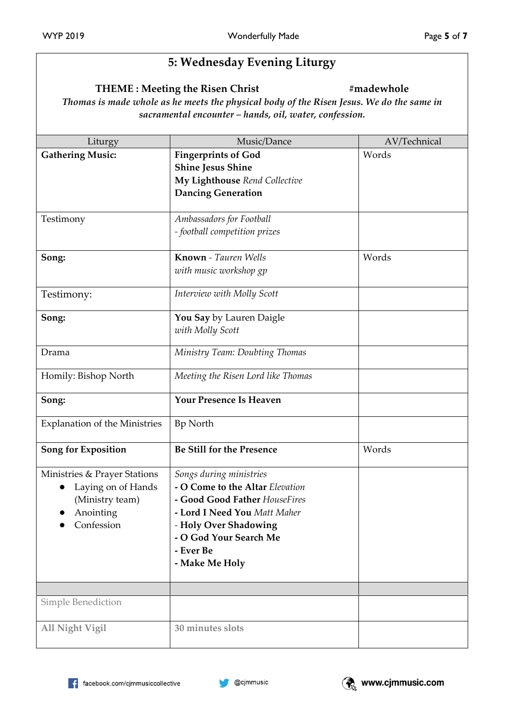## **5: Wednesday Evening Liturgy**

#### **THEME : Meeting the Risen Christ #madewhole**

*Thomas is made whole as he meets the physical body of the Risen Jesus. We do the same in sacramental encounter – hands, oil, water, confession.*

| Liturgy                                                                                          | Music/Dance                                                                                                                                                                                                   | AV/Technical |
|--------------------------------------------------------------------------------------------------|---------------------------------------------------------------------------------------------------------------------------------------------------------------------------------------------------------------|--------------|
| <b>Gathering Music:</b>                                                                          | <b>Fingerprints of God</b><br><b>Shine Jesus Shine</b><br>My Lighthouse Rend Collective<br><b>Dancing Generation</b>                                                                                          | Words        |
| Testimony                                                                                        | Ambassadors for Football<br>- football competition prizes                                                                                                                                                     |              |
| Song:                                                                                            | Known - Tauren Wells<br>with music workshop gp                                                                                                                                                                | Words        |
| Testimony:                                                                                       | Interview with Molly Scott                                                                                                                                                                                    |              |
| Song:                                                                                            | You Say by Lauren Daigle<br>with Molly Scott                                                                                                                                                                  |              |
| Drama                                                                                            | Ministry Team: Doubting Thomas                                                                                                                                                                                |              |
| Homily: Bishop North                                                                             | Meeting the Risen Lord like Thomas                                                                                                                                                                            |              |
| Song:                                                                                            | <b>Your Presence Is Heaven</b>                                                                                                                                                                                |              |
| <b>Explanation of the Ministries</b>                                                             | Bp North                                                                                                                                                                                                      |              |
| Song for Exposition                                                                              | <b>Be Still for the Presence</b>                                                                                                                                                                              | Words        |
| Ministries & Prayer Stations<br>Laying on of Hands<br>(Ministry team)<br>Anointing<br>Confession | Songs during ministries<br>- O Come to the Altar Elevation<br>- Good Good Father HouseFires<br>- Lord I Need You Matt Maher<br>- Holy Over Shadowing<br>- O God Your Search Me<br>- Ever Be<br>- Make Me Holy |              |
| <b>Simple Benediction</b>                                                                        |                                                                                                                                                                                                               |              |
|                                                                                                  |                                                                                                                                                                                                               |              |
| <b>All Night Vigil</b>                                                                           | 30 minutes slots                                                                                                                                                                                              |              |

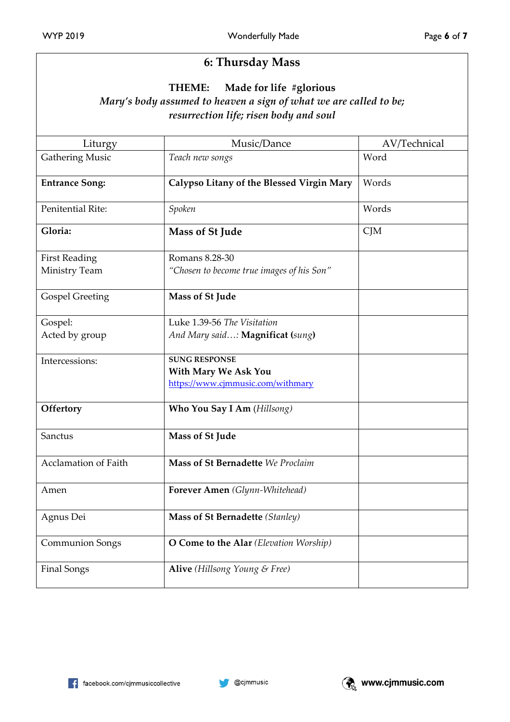### **6: Thursday Mass**

#### **THEME: Made for life #glorious**

### *Mary's body assumed to heaven a sign of what we are called to be; resurrection life; risen body and soul*

| Liturgy                | Music/Dance                               | AV/Technical |
|------------------------|-------------------------------------------|--------------|
| <b>Gathering Music</b> | Teach new songs                           | Word         |
| <b>Entrance Song:</b>  | Calypso Litany of the Blessed Virgin Mary | Words        |
| Penitential Rite:      | Spoken                                    | Words        |
| Gloria:                | Mass of St Jude                           | CJM          |
| <b>First Reading</b>   | Romans 8.28-30                            |              |
| Ministry Team          | "Chosen to become true images of his Son" |              |
| <b>Gospel Greeting</b> | Mass of St Jude                           |              |
| Gospel:                | Luke 1.39-56 The Visitation               |              |
| Acted by group         | And Mary said: Magnificat (sung)          |              |
| Intercessions:         | <b>SUNG RESPONSE</b>                      |              |
|                        | <b>With Mary We Ask You</b>               |              |
|                        | https://www.cjmmusic.com/withmary         |              |
| Offertory              | Who You Say I Am (Hillsong)               |              |
| Sanctus                | Mass of St Jude                           |              |
| Acclamation of Faith   | Mass of St Bernadette We Proclaim         |              |
| Amen                   | Forever Amen (Glynn-Whitehead)            |              |
| Agnus Dei              | <b>Mass of St Bernadette (Stanley)</b>    |              |
| <b>Communion Songs</b> | O Come to the Alar (Elevation Worship)    |              |
| <b>Final Songs</b>     | Alive (Hillsong Young & Free)             |              |